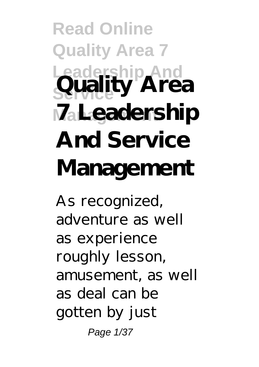## **Read Online Quality Area 7 Leadership And Service Quality Area Management 7 Leadership And Service Management**

As recognized, adventure as well as experience roughly lesson, amusement, as well as deal can be gotten by just Page 1/37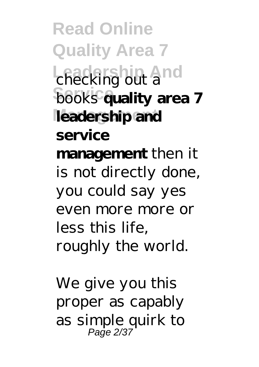**Read Online Quality Area 7 Leadership And** checking out a **books** quality area 7 leadership and **service management** then it is not directly done, you could say yes even more more or less this life, roughly the world.

We give you this proper as capably as simple quirk to Page 2/37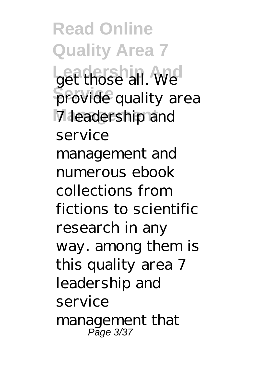**Read Online Quality Area 7** get those all. We **Service** provide quality area **Management** 7 leadership and service management and numerous ebook collections from fictions to scientific research in any way. among them is this quality area 7 leadership and service management that Page 3/37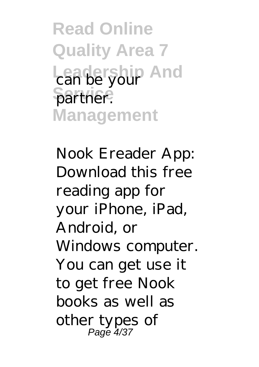**Read Online Quality Area 7** Leadership And partner. **Management**

Nook Ereader App: Download this free reading app for your iPhone, iPad, Android, or Windows computer. You can get use it to get free Nook books as well as other types of Page 4/37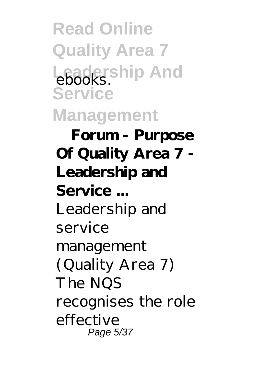**Read Online Quality Area 7** Leadership And **Service Management**

**Forum - Purpose Of Quality Area 7 - Leadership and Service ...** Leadership and service management (Quality Area 7) The NQS recognises the role effective Page 5/37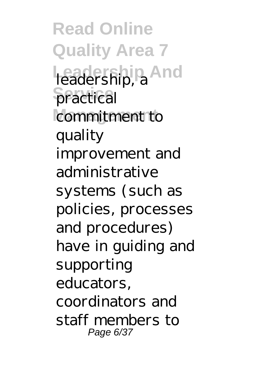**Read Online Quality Area 7 Leadership And** leadership, a **practical** commitment to quality improvement and administrative systems (such as policies, processes and procedures) have in guiding and supporting educators, coordinators and staff members to Page 6/37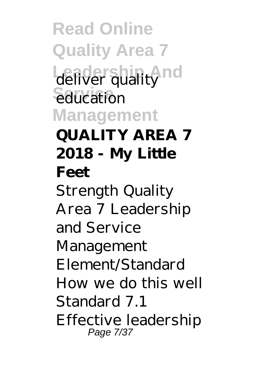**Read Online Quality Area 7** deliver quality nd education **Management QUALITY AREA 7 2018 - My Little Feet** Strength Quality Area 7 Leadership and Service Management Element/Standard How we do this well Standard 7.1 Effective leadership Page 7/37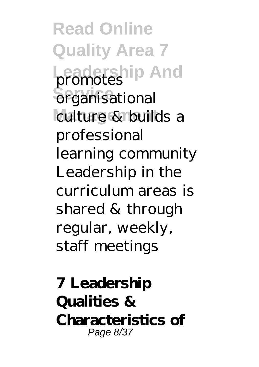**Read Online Quality Area 7 Leadership And** promotes **Serganisational** culture & builds a professional learning community Leadership in the curriculum areas is shared & through regular, weekly, staff meetings

**7 Leadership Qualities & Characteristics of** Page 8/37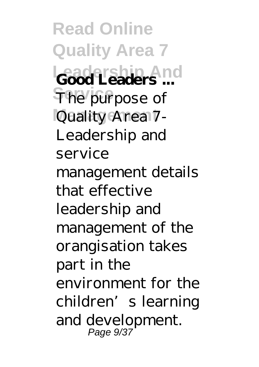**Read Online Quality Area 7 Leadership And Good Leaders ...** The purpose of **Management** Quality Area 7- Leadership and service management details that effective leadership and management of the orangisation takes part in the environment for the children's learning and development. Page 9/37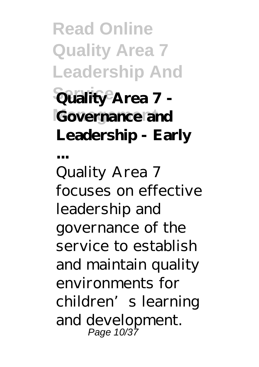**Read Online Quality Area 7 Leadership And Service Quality Area 7 - Governance and Leadership - Early ...**

Quality Area 7 focuses on effective leadership and governance of the service to establish and maintain quality environments for children's learning and development. Page 10/37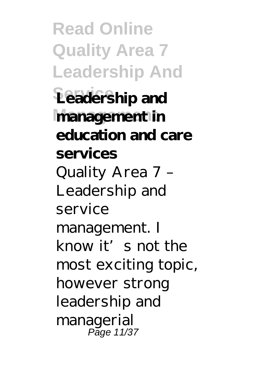**Read Online Quality Area 7 Leadership And Service Leadership and Management management in education and care services** Quality Area 7 – Leadership and service management. I know it's not the most exciting topic, however strong leadership and managerial Page 11/37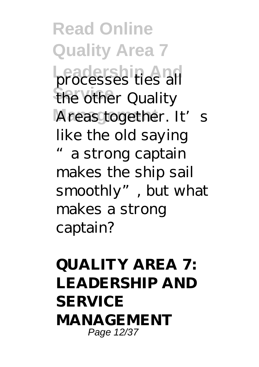**Read Online Quality Area 7** processes ties all the other Quality Areas together. It's like the old saying a strong captain makes the ship sail smoothly", but what makes a strong captain?

## **QUALITY AREA 7: LEADERSHIP AND SERVICE MANAGEMENT** Page 12/37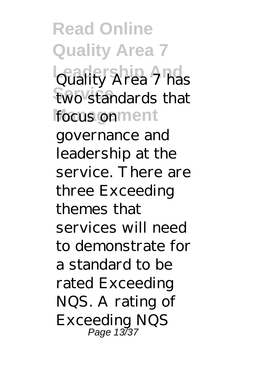**Read Online Quality Area 7 Leadership And** Quality Area 7 has two standards that focus onment governance and leadership at the service. There are three Exceeding themes that services will need to demonstrate for a standard to be rated Exceeding NQS. A rating of Exceeding NQS Page 13/37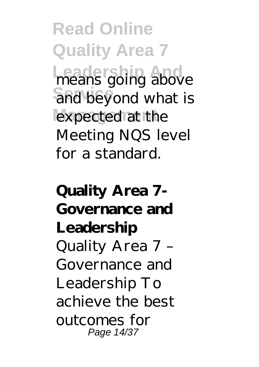**Read Online Quality Area 7 Leadership And** means going above and beyond what is expected at the Meeting NQS level for a standard.

**Quality Area 7- Governance and Leadership** Quality Area 7 – Governance and Leadership To achieve the best outcomes for Page 14/37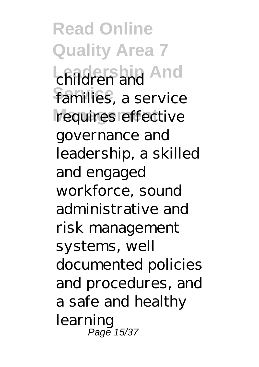**Read Online Quality Area 7 Leadership And** children and families, a service requires effective governance and leadership, a skilled and engaged workforce, sound administrative and risk management systems, well documented policies and procedures, and a safe and healthy learning Page 15/37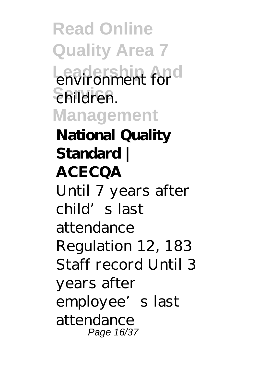**Read Online Quality Area 7 Leadership And** environment for **Service** children. **Management National Quality Standard | ACECQA** Until 7 years after child's last attendance Regulation 12, 183 Staff record Until 3 years after employee's last attendance Page 16/37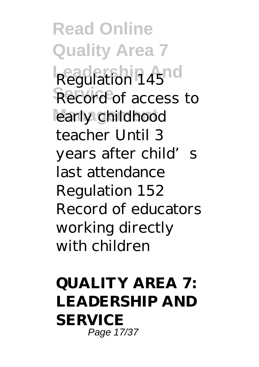**Read Online Quality Area 7 Regulation 14510** Record of access to early childhood teacher Until 3 years after child's last attendance Regulation 152 Record of educators working directly with children

**QUALITY AREA 7: LEADERSHIP AND SERVICE** Page 17/37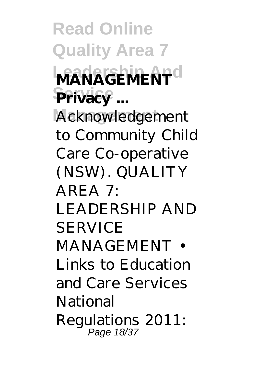**Read Online Quality Area 7 MANAGEMENT** Privacy ... **Management** Acknowledgement to Community Child Care Co-operative (NSW). QUALITY  $AREA$  7. LEADERSHIP AND **SERVICE** MANAGEMENT • Links to Education and Care Services National Regulations 2011: Page 18/37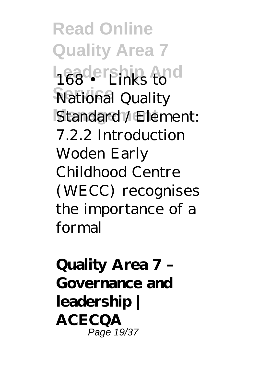**Read Online Quality Area 7 Leadership And Service** National Quality Standard<sup>1</sup>/Element: 7.2.2 Introduction Woden Early Childhood Centre (WECC) recognises the importance of a formal

**Quality Area 7 – Governance and leadership | ACECQA** Page 19/37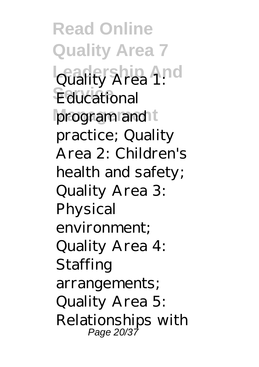**Read Online Quality Area 7 Quality Area 1:0** Educational program and t practice; Quality Area 2: Children's health and safety; Quality Area 3: Physical environment; Quality Area 4: Staffing arrangements; Quality Area 5: Relationships with Page 20/37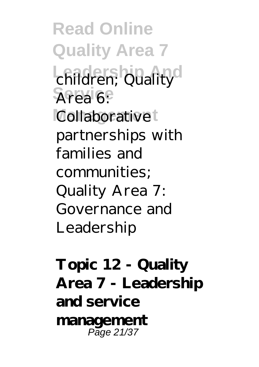**Read Online Quality Area 7** children; Quality Area 6: Collaborative<sup>t</sup> partnerships with families and communities; Quality Area 7: Governance and Leadership

**Topic 12 - Quality Area 7 - Leadership and service management** Page 21/37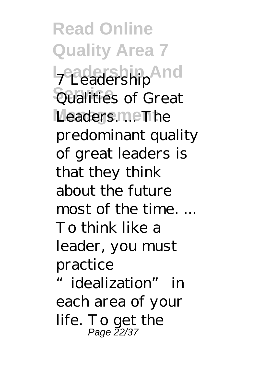**Read Online Quality Area 7 Leadership And** 7 Leadership Qualities of Great Leaders.meThe predominant quality of great leaders is that they think about the future most of the time. ... To think like a leader, you must practice idealization" in each area of your life. To get the

Page 22/37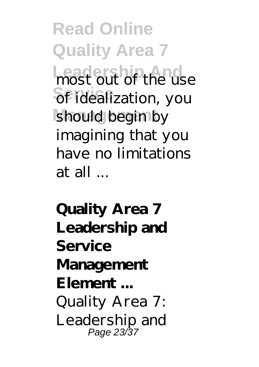**Read Online Quality Area 7 Leadership And** most out of the use **Sef** idealization, you should begin by imagining that you have no limitations at all ...

**Quality Area 7 Leadership and Service Management Element ...** Quality Area 7: Leadership and Page 23/37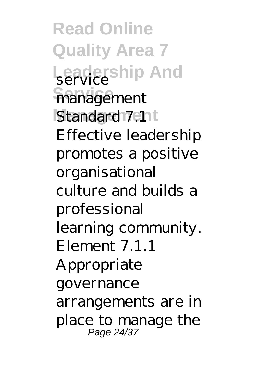**Read Online Quality Area 7 Leadership And** service **Service** management Standard 7.11t Effective leadership promotes a positive organisational culture and builds a professional learning community. Element 7.1.1 Appropriate governance arrangements are in place to manage the Page 24/37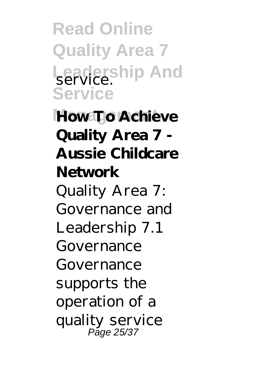**Read Online Quality Area 7 Leadership And** service. **Service**

**How To Achieve Quality Area 7 - Aussie Childcare Network** Quality Area 7: Governance and Leadership 7.1 Governance Governance supports the operation of a quality service Page 25/37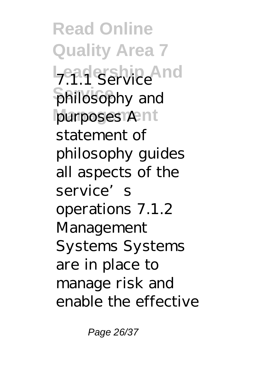**Read Online Quality Area 7 Lead Service** And **Service** philosophy and purposes Ant statement of philosophy guides all aspects of the service's operations 7.1.2 Management Systems Systems are in place to manage risk and enable the effective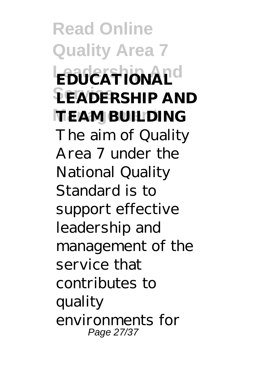**Read Online Quality Area 7 EDUCATIONAL**<sup>d</sup> **Service LEADERSHIP AND TEAM BUILDING** The aim of Quality Area 7 under the National Quality Standard is to support effective leadership and management of the service that contributes to quality environments for Page 27/37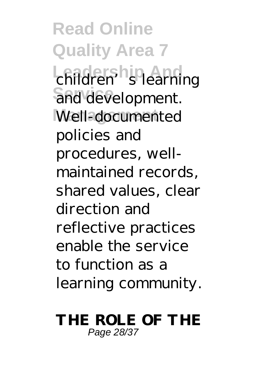**Read Online Quality Area 7 Leadership And** children's learning and development. Well-documented policies and procedures, wellmaintained records, shared values, clear direction and reflective practices enable the service to function as a learning community.

## **THE ROLE OF THE** Page 28/37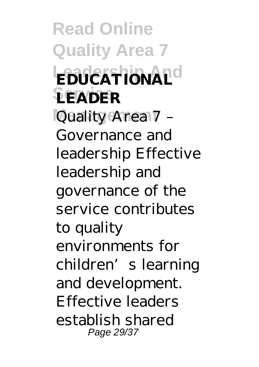**Read Online Quality Area 7 EDUCATIONAL**<sup>d</sup> **Service LEADER Management** Quality Area 7 – Governance and leadership Effective leadership and governance of the service contributes to quality environments for children's learning and development. Effective leaders establish shared Page 29/37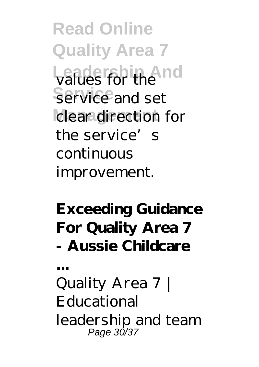**Read Online Quality Area 7 Leadership And** values for the **Service** service and set clear direction for the service's continuous improvement.

## **Exceeding Guidance For Quality Area 7 - Aussie Childcare**

Quality Area 7 | Educational leadership and team Page 30/37

**...**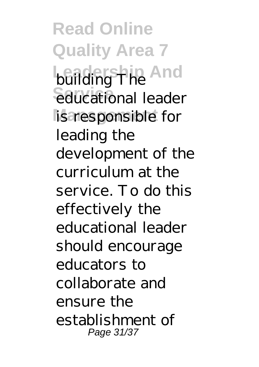**Read Online Quality Area 7 building The And** educational leader is responsible for leading the development of the curriculum at the service. To do this effectively the educational leader should encourage educators to collaborate and ensure the establishment of Page 31/37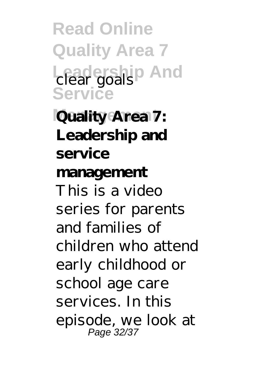**Read Online Quality Area 7 Leadership And** clear goals **Service**

**Quality Area 7: Leadership and service management** This is a video series for parents and families of children who attend early childhood or school age care services. In this episode, we look at Page 32/37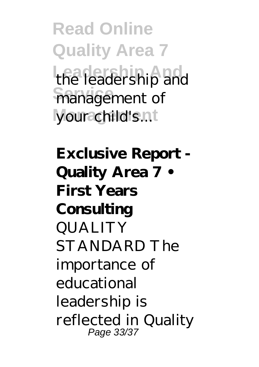**Read Online Quality Area 7** the leadership and management of your child's.nt

**Exclusive Report - Quality Area 7 • First Years Consulting** QUALITY STANDARD The importance of educational leadership is reflected in Quality Page 33/37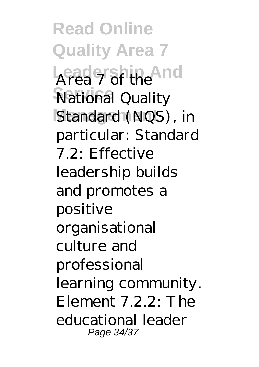**Read Online Quality Area 7** Area 7 of the And **Service** National Quality Standard<sup>(NQS)</sup>, in particular: Standard 7.2: Effective leadership builds and promotes a positive organisational culture and professional learning community. Element  $7.2.2$ : The educational leader Page 34/37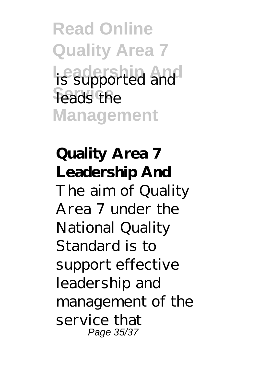**Read Online Quality Area 7 Leadership And** is supported and leads the **Management**

**Quality Area 7 Leadership And** The aim of Quality Area 7 under the National Quality Standard is to support effective leadership and management of the service that Page 35/37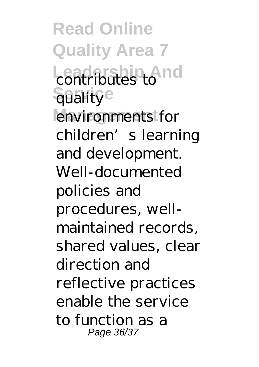**Read Online Quality Area 7 Leadership And** contributes to **Sualitye** environments for children's learning and development. Well-documented policies and procedures, wellmaintained records, shared values, clear direction and reflective practices enable the service to function as a Page 36/37